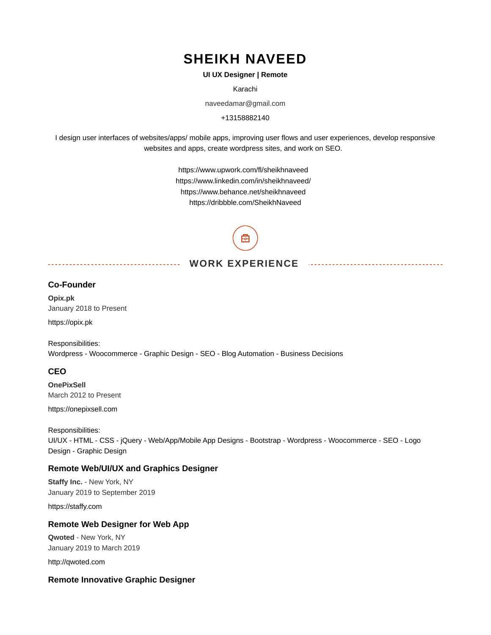# **SHEIKH NAVEED**

#### **UI UX Designer | Remote**

Karachi

naveedamar@gmail.com

+13158882140

I design user interfaces of websites/apps/ mobile apps, improving user flows and user experiences, develop responsive websites and apps, create wordpress sites, and work on SEO.

> https://www.upwork.com/fl/sheikhnaveed https://www.linkedin.com/in/sheikhnaveed/ https://www.behance.net/sheikhnaveed https://dribbble.com/SheikhNaveed

# **WORK EXPERIENCE**

<u>. . . . . . . . . . .</u>

# **Co-Founder**

**Opix.pk** January 2018 to Present

https://opix.pk

Responsibilities: Wordpress - Woocommerce - Graphic Design - SEO - Blog Automation - Business Decisions

#### **CEO**

**OnePixSell** March 2012 to Present

https://onepixsell.com

Responsibilities: UI/UX - HTML - CSS - jQuery - Web/App/Mobile App Designs - Bootstrap - Wordpress - Woocommerce - SEO - Logo Design - Graphic Design

#### **Remote Web/UI/UX and Graphics Designer**

<u> - - - - - - - - - - - - - - - - - -</u>

**Staffy Inc.** - New York, NY January 2019 to September 2019

https://staffy.com

## **Remote Web Designer for Web App**

**Qwoted** - New York, NY January 2019 to March 2019

http://qwoted.com

#### **Remote Innovative Graphic Designer**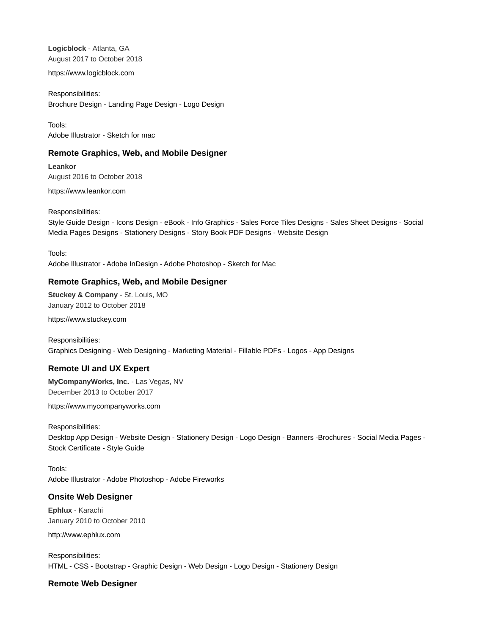**Logicblock** - Atlanta, GA August 2017 to October 2018

https://www.logicblock.com

Responsibilities: Brochure Design - Landing Page Design - Logo Design

Tools: Adobe Illustrator - Sketch for mac

#### **Remote Graphics, Web, and Mobile Designer**

**Leankor** August 2016 to October 2018

https://www.leankor.com

Responsibilities:

Style Guide Design - Icons Design - eBook - Info Graphics - Sales Force Tiles Designs - Sales Sheet Designs - Social Media Pages Designs - Stationery Designs - Story Book PDF Designs - Website Design

Tools:

Adobe Illustrator - Adobe InDesign - Adobe Photoshop - Sketch for Mac

#### **Remote Graphics, Web, and Mobile Designer**

**Stuckey & Company** - St. Louis, MO January 2012 to October 2018

https://www.stuckey.com

Responsibilities: Graphics Designing - Web Designing - Marketing Material - Fillable PDFs - Logos - App Designs

# **Remote UI and UX Expert**

**MyCompanyWorks, Inc.** - Las Vegas, NV December 2013 to October 2017

https://www.mycompanyworks.com

Responsibilities: Desktop App Design - Website Design - Stationery Design - Logo Design - Banners -Brochures - Social Media Pages - Stock Certificate - Style Guide

Tools: Adobe Illustrator - Adobe Photoshop - Adobe Fireworks

# **Onsite Web Designer**

**Ephlux** - Karachi January 2010 to October 2010

http://www.ephlux.com

Responsibilities: HTML - CSS - Bootstrap - Graphic Design - Web Design - Logo Design - Stationery Design

#### **Remote Web Designer**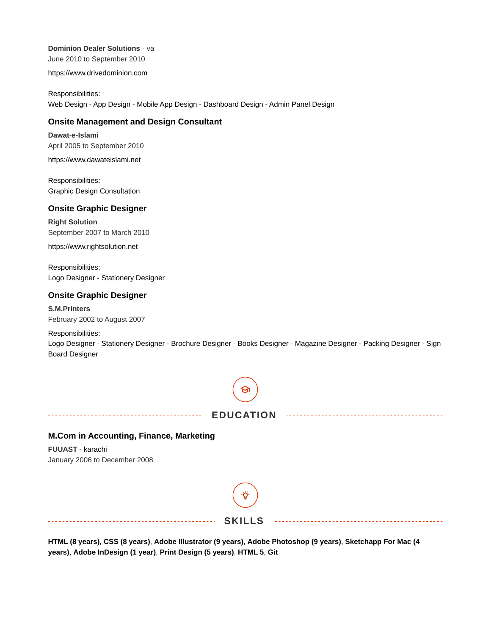**Dominion Dealer Solutions** - va

June 2010 to September 2010

https://www.drivedominion.com

Responsibilities: Web Design - App Design - Mobile App Design - Dashboard Design - Admin Panel Design

#### **Onsite Management and Design Consultant**

**Dawat-e-Islami** April 2005 to September 2010

https://www.dawateislami.net

Responsibilities: Graphic Design Consultation

#### **Onsite Graphic Designer**

**Right Solution** September 2007 to March 2010

https://www.rightsolution.net

Responsibilities: Logo Designer - Stationery Designer

### **Onsite Graphic Designer**

#### **S.M.Printers** February 2002 to August 2007

Responsibilities:

Logo Designer - Stationery Designer - Brochure Designer - Books Designer - Magazine Designer - Packing Designer - Sign Board Designer



**HTML (8 years)**, **CSS (8 years)**, **Adobe Illustrator (9 years)**, **Adobe Photoshop (9 years)**, **Sketchapp For Mac (4 years)**, **Adobe InDesign (1 year)**, **Print Design (5 years)**, **HTML 5**, **Git**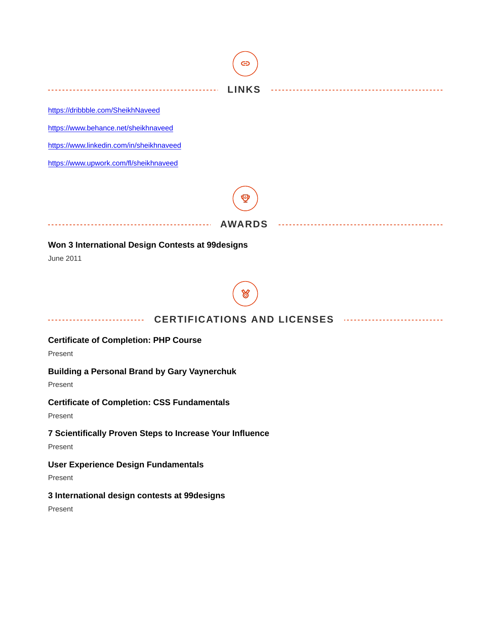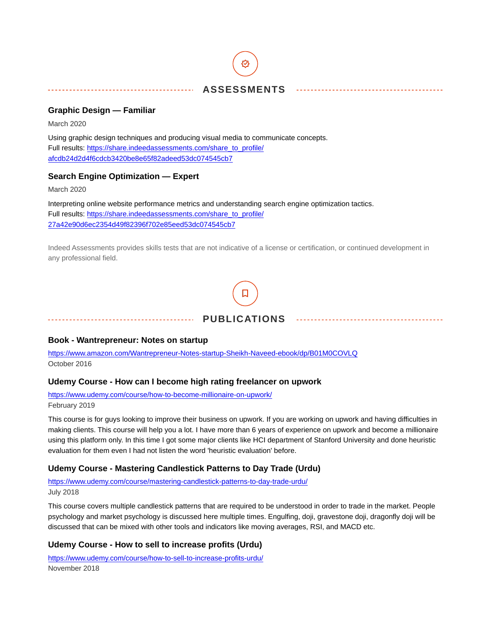# **ASSESSMENTS**

## **Graphic Design — Familiar**

March 2020

Using graphic design techniques and producing visual media to communicate concepts. Full results: [https://share.indeedassessments.com/share\\_to\\_profile/](https://share.indeedassessments.com/share_to_profile/afcdb24d2d4f6cdcb3420be8e65f82adeed53dc074545cb7) [afcdb24d2d4f6cdcb3420be8e65f82adeed53dc074545cb7](https://share.indeedassessments.com/share_to_profile/afcdb24d2d4f6cdcb3420be8e65f82adeed53dc074545cb7)

# **Search Engine Optimization — Expert**

March 2020

Interpreting online website performance metrics and understanding search engine optimization tactics. Full results: [https://share.indeedassessments.com/share\\_to\\_profile/](https://share.indeedassessments.com/share_to_profile/27a42e90d6ec2354d49f82396f702e85eed53dc074545cb7) [27a42e90d6ec2354d49f82396f702e85eed53dc074545cb7](https://share.indeedassessments.com/share_to_profile/27a42e90d6ec2354d49f82396f702e85eed53dc074545cb7)

Indeed Assessments provides skills tests that are not indicative of a license or certification, or continued development in any professional field.



# **Book - Wantrepreneur: Notes on startup**

<https://www.amazon.com/Wantrepreneur-Notes-startup-Sheikh-Naveed-ebook/dp/B01M0COVLQ> October 2016

#### **Udemy Course - How can I become high rating freelancer on upwork**

<https://www.udemy.com/course/how-to-become-millionaire-on-upwork/> February 2019

This course is for guys looking to improve their business on upwork. If you are working on upwork and having difficulties in making clients. This course will help you a lot. I have more than 6 years of experience on upwork and become a millionaire using this platform only. In this time I got some major clients like HCI department of Stanford University and done heuristic evaluation for them even I had not listen the word 'heuristic evaluation' before.

# **Udemy Course - Mastering Candlestick Patterns to Day Trade (Urdu)**

<https://www.udemy.com/course/mastering-candlestick-patterns-to-day-trade-urdu/> July 2018

This course covers multiple candlestick patterns that are required to be understood in order to trade in the market. People psychology and market psychology is discussed here multiple times. Engulfing, doji, gravestone doji, dragonfly doji will be discussed that can be mixed with other tools and indicators like moving averages, RSI, and MACD etc.

# **Udemy Course - How to sell to increase profits (Urdu)**

<https://www.udemy.com/course/how-to-sell-to-increase-profits-urdu/> November 2018